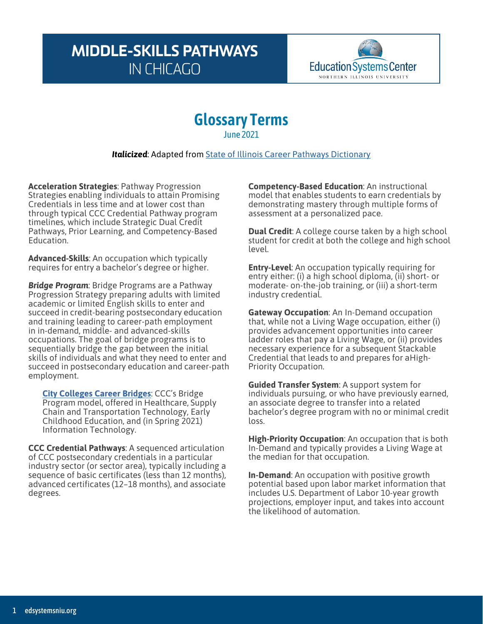## **MIDDLE-SKILLS PATHWAYS IN CHICAGO**



## **Glossary Terms** June 2021

*Italicized*: Adapted from State of Illinois Career Pathways [Dictionary](https://edsystemsniu.org/career-pathways-dictionary/)

**Acceleration Strategies**: Pathway Progression Strategies enabling individuals to attain Promising Credentials in less time and at lower cost than through typical CCC Credential Pathway program timelines, which include Strategic Dual Credit Pathways, Prior Learning, and Competency-Based Education.

**Advanced-Skills**: An occupation which typically requires for entry a bachelor's degree or higher.

*Bridge Program*: Bridge Programs are a Pathway Progression Strategy preparing adults with limited academic or limited English skills to enter and succeed in credit-bearing postsecondary education and training leading to career-path employment in in-demand, middle- and advanced-skills occupations. The goal of bridge programs is to sequentially bridge the gap between the initial skills of individuals and what they need to enter and succeed in postsecondary education and career-path employment.

**[City Colleges Career Bridges](https://www.ccc.edu/site/Pages/bridge.aspx)**: CCC's Bridge Program model, offered in Healthcare, Supply Chain and Transportation Technology, Early Childhood Education, and (in Spring 2021) Information Technology.

**CCC Credential Pathways**: A sequenced articulation of CCC postsecondary credentials in a particular industry sector (or sector area), typically including a sequence of basic certificates (less than 12 months), advanced certificates (12–18 months), and associate degrees.

**Competency-Based Education**: An instructional model that enables students to earn credentials by demonstrating mastery through multiple forms of assessment at a personalized pace.

**Dual Credit**: A college course taken by a high school student for credit at both the college and high school level.

**Entry-Level**: An occupation typically requiring for entry either: (i) a high school diploma, (ii) short- or moderate- on-the-job training, or (iii) a short-term industry credential.

**Gateway Occupation**: An In-Demand occupation that, while not a Living Wage occupation, either (i) provides advancement opportunities into career ladder roles that pay a Living Wage, or (ii) provides necessary experience for a subsequent Stackable Credential that leads to and prepares for aHigh-Priority Occupation.

**Guided Transfer System**: A support system for individuals pursuing, or who have previously earned, an associate degree to transfer into a related bachelor's degree program with no or minimal credit loss.

**High-Priority Occupation**: An occupation that is both In-Demand and typically provides a Living Wage at the median for that occupation.

**In-Demand**: An occupation with positive growth potential based upon labor market information that includes U.S. Department of Labor 10-year growth projections, employer input, and takes into account the likelihood of automation.